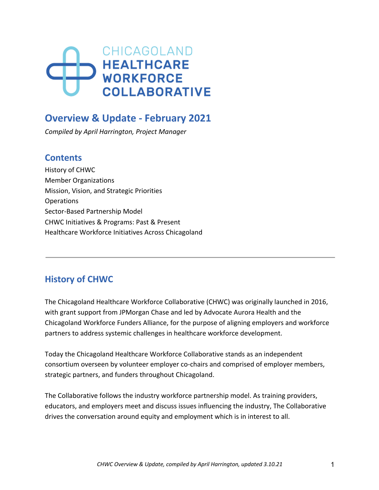# CHICAGOLAND **HEALTHCARE WORKFORCE COLLABORATIVE**

# **Overview & Update - February 2021**

*Compiled by April Harrington, Project Manager* 

## **Contents**

History of CHWC Member Organizations Mission, Vision, and Strategic Priorities Operations Sector-Based Partnership Model CHWC Initiatives & Programs: Past & Present Healthcare Workforce Initiatives Across Chicagoland

## **History of CHWC**

The Chicagoland Healthcare Workforce Collaborative (CHWC) was originally launched in 2016, with grant support from JPMorgan Chase and led by Advocate Aurora Health and the Chicagoland Workforce Funders Alliance, for the purpose of aligning employers and workforce partners to address systemic challenges in healthcare workforce development.

Today the Chicagoland Healthcare Workforce Collaborative stands as an independent consortium overseen by volunteer employer co-chairs and comprised of employer members, strategic partners, and funders throughout Chicagoland.

The Collaborative follows the industry workforce partnership model. As training providers, educators, and employers meet and discuss issues influencing the industry, The Collaborative drives the conversation around equity and employment which is in interest to all.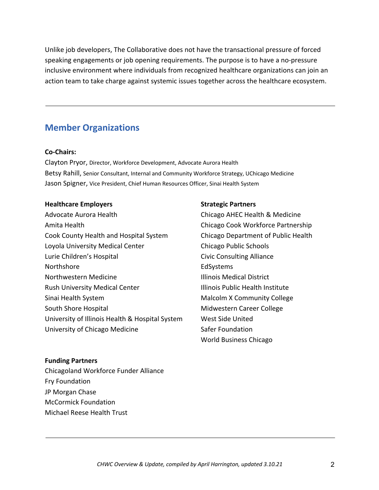Unlike job developers, The Collaborative does not have the transactional pressure of forced speaking engagements or job opening requirements. The purpose is to have a no-pressure inclusive environment where individuals from recognized healthcare organizations can join an action team to take charge against systemic issues together across the healthcare ecosystem.

## **Member Organizations**

#### **Co-Chairs:**

Clayton Pryor, Director, Workforce Development, Advocate Aurora Health Betsy Rahill, Senior Consultant, Internal and Community Workforce Strategy, UChicago Medicine Jason Spigner, Vice President, Chief Human Resources Officer, Sinai Health System

#### **Healthcare Employers Strategic Partners**

Advocate Aurora Health Chicago AHEC Health & Medicine Amita Health Chicago Cook Workforce Partnership Cook County Health and Hospital System Chicago Department of Public Health Loyola University Medical Center Chicago Public Schools Lurie Children's Hospital Civic Consulting Alliance Northshore **EdSystems** Northwestern Medicine **Illinois Medical District** Rush University Medical Center **Illinois Public Health Institute** Sinai Health System **Malcolm X** Community College South Shore Hospital Midwestern Career College University of Illinois Health & Hospital System West Side United University of Chicago Medicine **Safer Foundation** 

#### **Funding Partners**

Chicagoland Workforce Funder Alliance Fry Foundation JP Morgan Chase McCormick Foundation Michael Reese Health Trust

World Business Chicago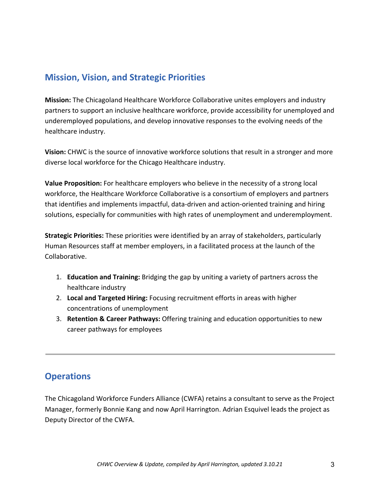## **Mission, Vision, and Strategic Priorities**

**Mission:** The Chicagoland Healthcare Workforce Collaborative unites employers and industry partners to support an inclusive healthcare workforce, provide accessibility for unemployed and underemployed populations, and develop innovative responses to the evolving needs of the healthcare industry.

**Vision:** CHWC is the source of innovative workforce solutions that result in a stronger and more diverse local workforce for the Chicago Healthcare industry.

**Value Proposition:** For healthcare employers who believe in the necessity of a strong local workforce, the Healthcare Workforce Collaborative is a consortium of employers and partners that identifies and implements impactful, data-driven and action-oriented training and hiring solutions, especially for communities with high rates of unemployment and underemployment.

**Strategic Priorities:** These priorities were identified by an array of stakeholders, particularly Human Resources staff at member employers, in a facilitated process at the launch of the Collaborative.

- 1. **Education and Training:** Bridging the gap by uniting a variety of partners across the healthcare industry
- 2. **Local and Targeted Hiring:** Focusing recruitment efforts in areas with higher concentrations of unemployment
- 3. **Retention & Career Pathways:** Offering training and education opportunities to new career pathways for employees

## **Operations**

The Chicagoland Workforce Funders Alliance (CWFA) retains a consultant to serve as the Project Manager, formerly Bonnie Kang and now April Harrington. Adrian Esquivel leads the project as Deputy Director of the CWFA.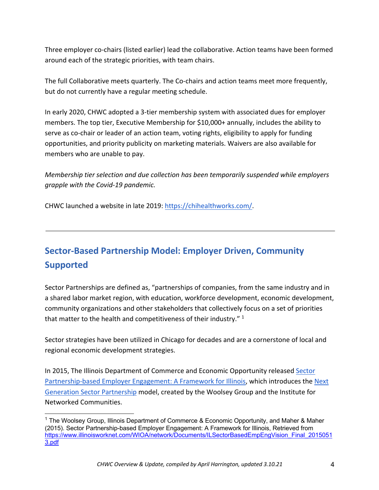Three employer co-chairs (listed earlier) lead the collaborative. Action teams have been formed around each of the strategic priorities, with team chairs.

The full Collaborative meets quarterly. The Co-chairs and action teams meet more frequently, but do not currently have a regular meeting schedule.

In early 2020, CHWC adopted a 3-tier membership system with associated dues for employer members. The top tier, Executive Membership for \$10,000+ annually, includes the ability to serve as co-chair or leader of an action team, voting rights, eligibility to apply for funding opportunities, and priority publicity on marketing materials. Waivers are also available for members who are unable to pay.

*Membership tier selection and due collection has been temporarily suspended while employers grapple with the Covid-19 pandemic.* 

CHWC launched a website in late 2019: https://chihealthworks.com/.

# **Sector-Based Partnership Model: Employer Driven, Community Supported**

Sector Partnerships are defined as, "partnerships of companies, from the same industry and in a shared labor market region, with education, workforce development, economic development, community organizations and other stakeholders that collectively focus on a set of priorities that matter to the health and competitiveness of their industry."  $1$ 

Sector strategies have been utilized in Chicago for decades and are a cornerstone of local and regional economic development strategies.

In 2015, The Illinois Department of Commerce and Economic Opportunity released Sector Partnership-based Employer Engagement: A Framework for Illinois, which introduces the Next Generation Sector Partnership model, created by the Woolsey Group and the Institute for Networked Communities.

<sup>&</sup>lt;sup>1</sup> The Woolsey Group, Illinois Department of Commerce & Economic Opportunity, and Maher & Maher (2015). Sector Partnership-based Employer Engagement: A Framework for Illinois, Retrieved from https://www.illinoisworknet.com/WIOA/network/Documents/ILSectorBasedEmpEngVision\_Final\_2015051 3.pdf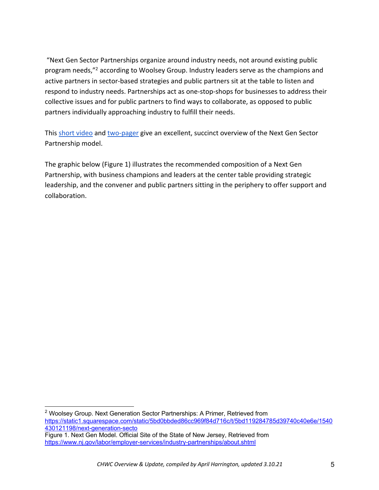"Next Gen Sector Partnerships organize around industry needs, not around existing public program needs,"<sup>2</sup> according to Woolsey Group. Industry leaders serve as the champions and active partners in sector-based strategies and public partners sit at the table to listen and respond to industry needs. Partnerships act as one-stop-shops for businesses to address their collective issues and for public partners to find ways to collaborate, as opposed to public partners individually approaching industry to fulfill their needs.

This short video and two-pager give an excellent, succinct overview of the Next Gen Sector Partnership model.

The graphic below (Figure 1) illustrates the recommended composition of a Next Gen Partnership, with business champions and leaders at the center table providing strategic leadership, and the convener and public partners sitting in the periphery to offer support and collaboration.

<sup>&</sup>lt;sup>2</sup> Woolsey Group. Next Generation Sector Partnerships: A Primer, Retrieved from https://static1.squarespace.com/static/5bd0bbded86cc969f84d716c/t/5bd119284785d39740c40e6e/1540 430121198/next-generation-secto

Figure 1. Next Gen Model. Official Site of the State of New Jersey, Retrieved from https://www.nj.gov/labor/employer-services/industry-partnerships/about.shtml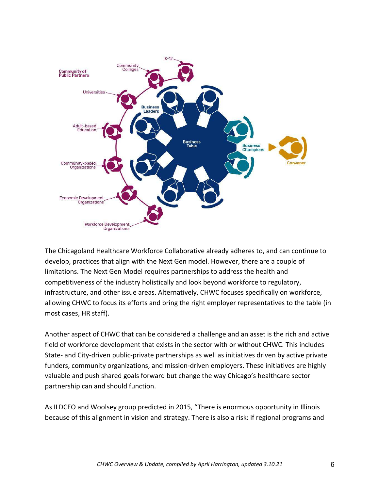

The Chicagoland Healthcare Workforce Collaborative already adheres to, and can continue to develop, practices that align with the Next Gen model. However, there are a couple of limitations. The Next Gen Model requires partnerships to address the health and competitiveness of the industry holistically and look beyond workforce to regulatory, infrastructure, and other issue areas. Alternatively, CHWC focuses specifically on workforce, allowing CHWC to focus its efforts and bring the right employer representatives to the table (in most cases, HR staff).

Another aspect of CHWC that can be considered a challenge and an asset is the rich and active field of workforce development that exists in the sector with or without CHWC. This includes State- and City-driven public-private partnerships as well as initiatives driven by active private funders, community organizations, and mission-driven employers. These initiatives are highly valuable and push shared goals forward but change the way Chicago's healthcare sector partnership can and should function.

As ILDCEO and Woolsey group predicted in 2015, "There is enormous opportunity in Illinois because of this alignment in vision and strategy. There is also a risk: if regional programs and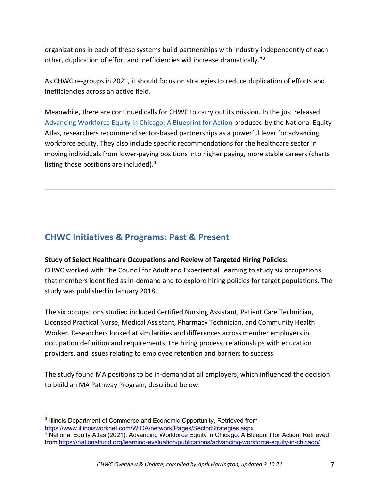organizations in each of these systems build partnerships with industry independently of each other, duplication of effort and inefficiencies will increase dramatically."<sup>3</sup>

As CHWC re-groups in 2021, it should focus on strategies to reduce duplication of efforts and inefficiencies across an active field.

Meanwhile, there are continued calls for CHWC to carry out its mission. In the just released Advancing Workforce Equity in Chicago: A Blueprint for Action produced by the National Equity Atlas, researchers recommend sector-based partnerships as a powerful lever for advancing workforce equity. They also include specific recommendations for the healthcare sector in moving individuals from lower-paying positions into higher paying, more stable careers (charts listing those positions are included).<sup>4</sup>

## **CHWC Initiatives & Programs: Past & Present**

## **Study of Select Healthcare Occupations and Review of Targeted Hiring Policies:**

CHWC worked with The Council for Adult and Experiential Learning to study six occupations that members identified as in-demand and to explore hiring policies for target populations. The study was published in January 2018.

The six occupations studied included Certified Nursing Assistant, Patient Care Technician, Licensed Practical Nurse, Medical Assistant, Pharmacy Technician, and Community Health Worker. Researchers looked at similarities and differences across member employers in occupation definition and requirements, the hiring process, relationships with education providers, and issues relating to employee retention and barriers to success.

The study found MA positions to be in-demand at all employers, which influenced the decision to build an MA Pathway Program, described below.

<sup>&</sup>lt;sup>3</sup> Illinois Department of Commerce and Economic Opportunity, Retrieved from https://www.illinoisworknet.com/WIOA/network/Pages/SectorStrategies.aspx

<sup>4</sup> National Equity Atlas (2021). Advancing Workforce Equity in Chicago: A Blueprint for Action, Retrieved from https://nationalfund.org/learning-evaluation/publications/advancing-workforce-equity-in-chicago/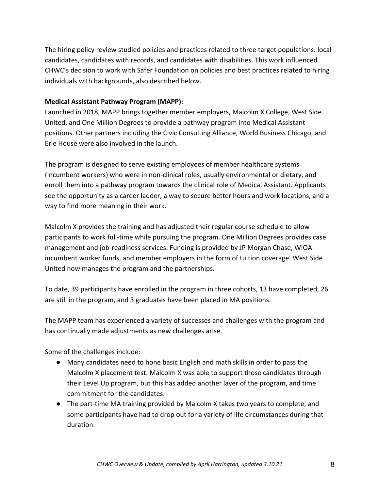The hiring policy review studied policies and practices related to three target populations: local candidates, candidates with records, and candidates with disabilities. This work influenced CHWC's decision to work with Safer Foundation on policies and best practices related to hiring individuals with backgrounds, also described below.

### **Medical Assistant Pathway Program (MAPP):**

Launched in 2018, MAPP brings together member employers, Malcolm X College, West Side United, and One Million Degrees to provide a pathway program into Medical Assistant positions. Other partners including the Civic Consulting Alliance, World Business Chicago, and Erie House were also involved in the launch.

The program is designed to serve existing employees of member healthcare systems (incumbent workers) who were in non-clinical roles, usually environmental or dietary, and enroll them into a pathway program towards the clinical role of Medical Assistant. Applicants see the opportunity as a career ladder, a way to secure better hours and work locations, and a way to find more meaning in their work.

Malcolm X provides the training and has adjusted their regular course schedule to allow participants to work full-time while pursuing the program. One Million Degrees provides case management and job-readiness services. Funding is provided by JP Morgan Chase, WIOA incumbent worker funds, and member employers in the form of tuition coverage. West Side United now manages the program and the partnerships.

To date, 39 participants have enrolled in the program in three cohorts, 13 have completed, 26 are still in the program, and 3 graduates have been placed in MA positions.

The MAPP team has experienced a variety of successes and challenges with the program and has continually made adjustments as new challenges arise.

Some of the challenges include:

- Many candidates need to hone basic English and math skills in order to pass the Malcolm X placement test. Malcolm X was able to support those candidates through their Level Up program, but this has added another layer of the program, and time commitment for the candidates.
- The part-time MA training provided by Malcolm X takes two years to complete, and some participants have had to drop out for a variety of life circumstances during that duration.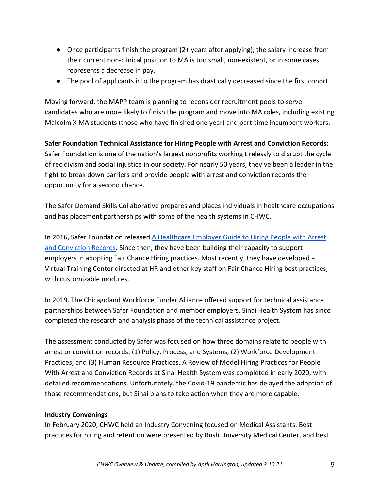- Once participants finish the program (2+ years after applying), the salary increase from their current non-clinical position to MA is too small, non-existent, or in some cases represents a decrease in pay.
- The pool of applicants into the program has drastically decreased since the first cohort.

Moving forward, the MAPP team is planning to reconsider recruitment pools to serve candidates who are more likely to finish the program and move into MA roles, including existing Malcolm X MA students (those who have finished one year) and part-time incumbent workers.

**Safer Foundation Technical Assistance for Hiring People with Arrest and Conviction Records:**  Safer Foundation is one of the nation's largest nonprofits working tirelessly to disrupt the cycle of recidivism and social injustice in our society. For nearly 50 years, they've been a leader in the fight to break down barriers and provide people with arrest and conviction records the opportunity for a second chance.

The Safer Demand Skills Collaborative prepares and places individuals in healthcare occupations and has placement partnerships with some of the health systems in CHWC.

In 2016, Safer Foundation released A Healthcare Employer Guide to Hiring People with Arrest and Conviction Records. Since then, they have been building their capacity to support employers in adopting Fair Chance Hiring practices. Most recently, they have developed a Virtual Training Center directed at HR and other key staff on Fair Chance Hiring best practices, with customizable modules.

In 2019, The Chicagoland Workforce Funder Alliance offered support for technical assistance partnerships between Safer Foundation and member employers. Sinai Health System has since completed the research and analysis phase of the technical assistance project.

The assessment conducted by Safer was focused on how three domains relate to people with arrest or conviction records: (1) Policy, Process, and Systems, (2) Workforce Development Practices, and (3) Human Resource Practices. A Review of Model Hiring Practices for People With Arrest and Conviction Records at Sinai Health System was completed in early 2020, with detailed recommendations. Unfortunately, the Covid-19 pandemic has delayed the adoption of those recommendations, but Sinai plans to take action when they are more capable.

#### **Industry Convenings**

In February 2020, CHWC held an Industry Convening focused on Medical Assistants. Best practices for hiring and retention were presented by Rush University Medical Center, and best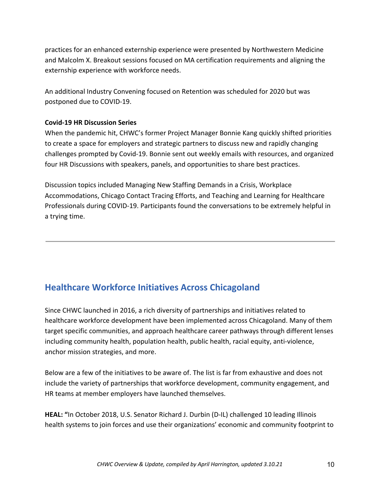practices for an enhanced externship experience were presented by Northwestern Medicine and Malcolm X. Breakout sessions focused on MA certification requirements and aligning the externship experience with workforce needs.

An additional Industry Convening focused on Retention was scheduled for 2020 but was postponed due to COVID-19.

#### **Covid-19 HR Discussion Series**

When the pandemic hit, CHWC's former Project Manager Bonnie Kang quickly shifted priorities to create a space for employers and strategic partners to discuss new and rapidly changing challenges prompted by Covid-19. Bonnie sent out weekly emails with resources, and organized four HR Discussions with speakers, panels, and opportunities to share best practices.

Discussion topics included Managing New Staffing Demands in a Crisis, Workplace Accommodations, Chicago Contact Tracing Efforts, and Teaching and Learning for Healthcare Professionals during COVID-19. Participants found the conversations to be extremely helpful in a trying time.

## **Healthcare Workforce Initiatives Across Chicagoland**

Since CHWC launched in 2016, a rich diversity of partnerships and initiatives related to healthcare workforce development have been implemented across Chicagoland. Many of them target specific communities, and approach healthcare career pathways through different lenses including community health, population health, public health, racial equity, anti-violence, anchor mission strategies, and more.

Below are a few of the initiatives to be aware of. The list is far from exhaustive and does not include the variety of partnerships that workforce development, community engagement, and HR teams at member employers have launched themselves.

**HEAL: "**In October 2018, U.S. Senator Richard J. Durbin (D-IL) challenged 10 leading Illinois health systems to join forces and use their organizations' economic and community footprint to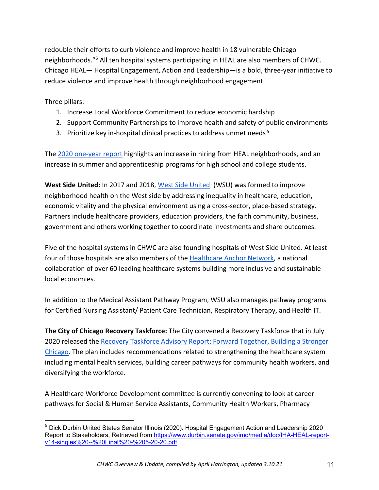redouble their efforts to curb violence and improve health in 18 vulnerable Chicago neighborhoods.<sup>"5</sup> All ten hospital systems participating in HEAL are also members of CHWC. Chicago HEAL— Hospital Engagement, Action and Leadership—is a bold, three-year initiative to reduce violence and improve health through neighborhood engagement.

Three pillars:

- 1. Increase Local Workforce Commitment to reduce economic hardship
- 2. Support Community Partnerships to improve health and safety of public environments
- 3. Prioritize key in-hospital clinical practices to address unmet needs<sup>5</sup>

The 2020 one-year report highlights an increase in hiring from HEAL neighborhoods, and an increase in summer and apprenticeship programs for high school and college students.

**West Side United:** In 2017 and 2018, West Side United (WSU) was formed to improve neighborhood health on the West side by addressing inequality in healthcare, education, economic vitality and the physical environment using a cross-sector, place-based strategy. Partners include healthcare providers, education providers, the faith community, business, government and others working together to coordinate investments and share outcomes.

Five of the hospital systems in CHWC are also founding hospitals of West Side United. At least four of those hospitals are also members of the Healthcare Anchor Network, a national collaboration of over 60 leading healthcare systems building more inclusive and sustainable local economies.

In addition to the Medical Assistant Pathway Program, WSU also manages pathway programs for Certified Nursing Assistant/ Patient Care Technician, Respiratory Therapy, and Health IT.

**The City of Chicago Recovery Taskforce:** The City convened a Recovery Taskforce that in July 2020 released the Recovery Taskforce Advisory Report: Forward Together, Building a Stronger Chicago. The plan includes recommendations related to strengthening the healthcare system including mental health services, building career pathways for community health workers, and diversifying the workforce.

A Healthcare Workforce Development committee is currently convening to look at career pathways for Social & Human Service Assistants, Community Health Workers, Pharmacy

<sup>&</sup>lt;sup>5</sup> Dick Durbin United States Senator Illinois (2020). Hospital Engagement Action and Leadership 2020 Report to Stakeholders, Retrieved from https://www.durbin.senate.gov/imo/media/doc/IHA-HEAL-reportv14-singles%20--%20Final%20-%205-20-20.pdf